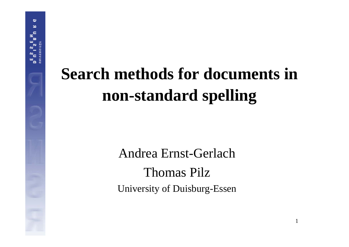## **Search methods for documents in non-standard spelling**

Andrea Ernst-GerlachThomas PilzUniversity of Duisburg-Essen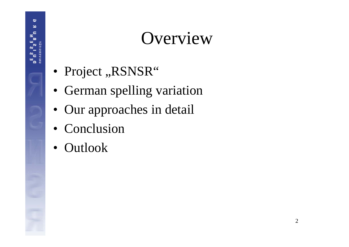#### Overview

- Project "RSNSR"
- German spelling variation
- Our approaches in detail
- Conclusion
- Outlook

ප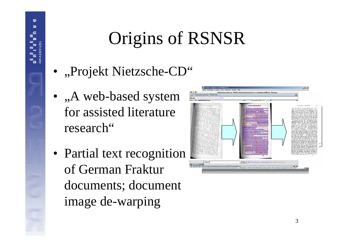## Origins of RSNSR

• "Projekt Nietzsche-CD"

ප

- $\bullet\,$  ,,A web-based system for assisted literatureresearch"
- Partial text recognition of German Fraktur documents; document image de-warping

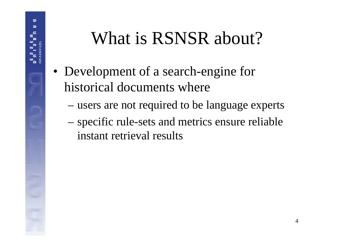## What is RSNSR about?

- Development of a search-engine for historical documents where
	- –users are not required to be language experts
	- – specific rule-sets and metrics ensure reliable instant retrieval results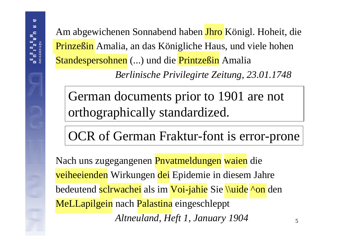Am abgewichenen Sonnabend haben <mark>Jhro</mark> Königl. Hoheit, die Prinzeßin Amalia, an das Königliche Haus, und viele hohen Standespersohnen (...) und die Printzeßin Amalia

*Berlinische Privilegirte Zeitung, 23.01.1748*

German documents prior to 1901 are not orthographically standardized.

OCR of German Fraktur-font is error-prone

Nach uns zugegangenen <mark>Pnvatmeldungen</mark> waien die <mark>veiheeienden</mark> Wirkungen <mark>dei</mark> Epidemie in diesem Jahre bedeutend <mark>sclrwachei</mark> als im <mark>Voi-jahie</mark> Sie \\uide ^on</mark> den MeLLapilgein nach Palastina eingeschleppt *Altneuland, Heft 1, January 1904*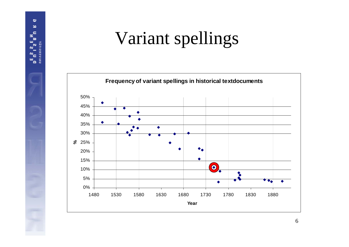## Variant spellings

ಲ  $\overline{\phantom{a}}$ c  $\mathbf{a}$ 

 $\sim$ 

**TATISSH3VINU** 

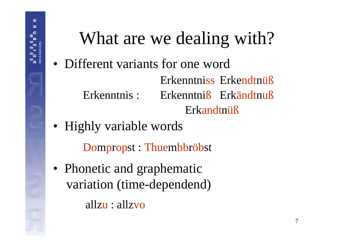

# What are we dealing with?

• Different variants for one word

Erkenntniss Erkendtnüß Erkenntnis : Erkenntniß Erkändtnuß Erkandtnüß

• Highly variable words

Do m p ropst : Thue mbb röbst

• Phonetic and graphematic variation (time-dependend)

allzu : allzvo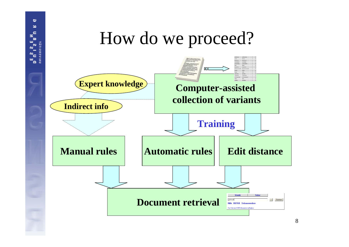#### How do we proceed? **OOC Expert knowledge Computer-assisted collection of variantsIndirect info TrainingManual rulesAutomatic rules** Edit distance **Document retrieval** qerhard  $-$  Suchen Hilfe RSNSR Dokumentenlist Zur Zeit sind 129 Dokumente verfügba

ප ×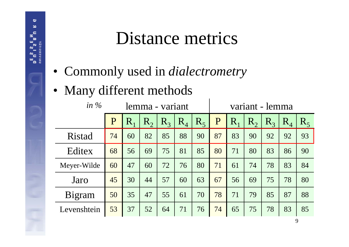#### Distance metrics

- Commonly used in *dialectrometry*
- Many different methods

ප

| in $\%$<br>lemma - variant |    |         |         |         | variant - lemma |       |    |             |         |         |       |         |
|----------------------------|----|---------|---------|---------|-----------------|-------|----|-------------|---------|---------|-------|---------|
|                            | P  | $R_{1}$ | $R_{2}$ | $R_{3}$ | $R_4$           | $R_5$ | P  | $\mathbf R$ | $R_{2}$ | $R_{3}$ | $R_4$ | $R_{5}$ |
| Ristad                     | 74 | 60      | 82      | 85      | 88              | 90    | 87 | 83          | 90      | 92      | 92    | 93      |
| Editex                     | 68 | 56      | 69      | 75      | 81              | 85    | 80 | 71          | 80      | 83      | 86    | 90      |
| Meyer-Wilde                | 60 | 47      | 60      | 72      | 76              | 80    | 71 | 61          | 74      | 78      | 83    | 84      |
| Jaro                       | 45 | 30      | 44      | 57      | 60              | 63    | 67 | 56          | 69      | 75      | 78    | 80      |
| Bigram                     | 50 | 35      | 47      | 55      | 61              | 70    | 78 | 71          | 79      | 85      | 87    | 88      |
| Levenshtein                | 53 | 37      | 52      | 64      | 71              | 76    | 74 | 65          | 75      | 78      | 83    | 85      |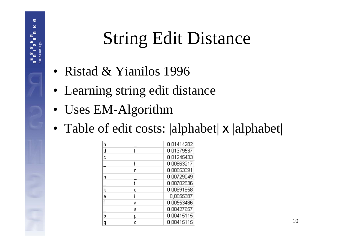## String Edit Distance

- Ristad & Yianilos 1996
- Learning string edit distance
- Uses EM-Algorithm

ප

• Table of edit costs: |alphabet| **x** |alphabet|

| h  |   | 0,01414282 |
|----|---|------------|
| d  |   | 0,01379537 |
| ċ  |   | 0,01245433 |
|    | h | 0,00863217 |
|    | n | 0,00853391 |
| 'n |   | 0,00729049 |
|    |   | 0,00702836 |
| k  | C | 0,00691858 |
| ē  |   | 0,0055387  |
|    | v | 0,00553486 |
|    | s | 0,00427657 |
| b  | р | 0,00415115 |
| g  | C | 0,00415115 |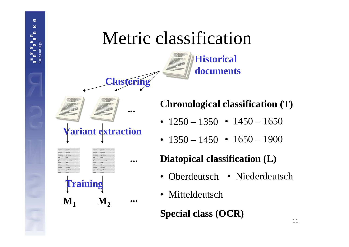#### Metric classification





ප ×



**Chronological classification (T)**

- 1250 1350 1450 1650
- $\bullet$  1350  $-$  1450  $\bullet$  1650  $-$  1900

#### **Diatopical classification (L)**

- Oberdeutsch Niederdeutsch
- Mitteldeutsch

**Special class (OCR)**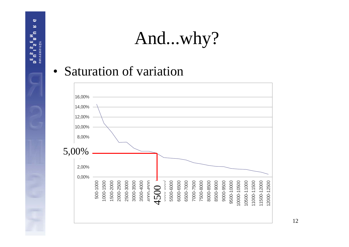#### And...why?

• Saturation of variation

ಲ × c  $\mathbf{a}$  $\frac{1}{\alpha}$ 

**TATICBR**  $\frac{1}{2}$ 

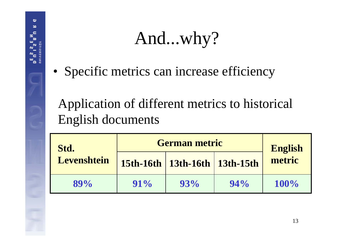#### And...why?

• Specific metrics can increase efficiency

ප

Application of different metrics to historical English documents

| Std.        | <b>German metric</b> | <b>English</b>                    |        |         |
|-------------|----------------------|-----------------------------------|--------|---------|
| Levenshtein |                      | 15th-16th   13th-16th   13th-15th |        | metric  |
| $89\%$      | $91\%$               | 93%                               | $94\%$ | $100\%$ |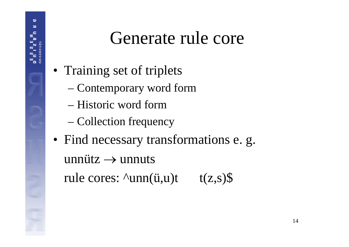#### Generate rule core

- Training set of triplets
	- Contemporary word form
	- Historic word form
	- –Collection frequency
- Find necessary transformations e. g. unnütz  $\rightarrow$  unnuts rule cores:  $\text{Nunn}(\ddot{u},u)t$  t(z,s)\$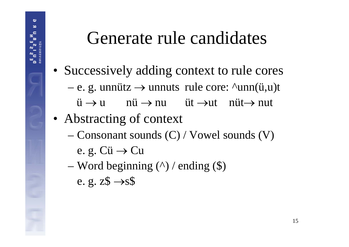#### Generate rule candidates

- Successively adding context to rule cores
	- e. g. unnütz → unnuts rule core: ^unn(ü,u)t
		- $\ddot{\mathrm{u}} \rightarrow \mathrm{u} \qquad \mathrm{n} \ddot{\mathrm{u}} \rightarrow \mathrm{n} \mathrm{u} \qquad \ddot{\mathrm{u}} \mathrm{t} \rightarrow \mathrm{n} \mathrm{u} \mathrm{u} \qquad \mathrm{n} \ddot{\mathrm{u}} \mathrm{t} \rightarrow \mathrm{n} \mathrm{u} \mathrm{t}$
- Abstracting of context
	- Consonant sounds (C) / Vowel sounds (V)
		- e. g. Cü → Cu

ප

 Word beginning (^) / ending (\$) e. g. z $\$\rightarrow$ s $\$\$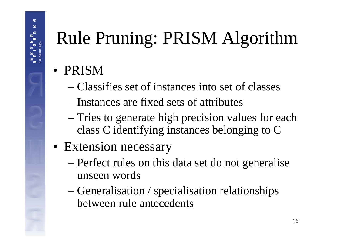## Rule Pruning: PRISM Algorithm

- PRISM
	- Classifies set of instances into set of classes
	- Instances are fixed sets of attributes
	- Tries to generate high precision values for each class C identifying instances belonging to C
- Extension necessary
	- Perfect rules on this data set do not generalise unseen words
	- – Generalisation / specialisation relationships between rule antecedents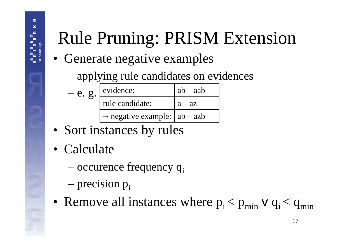## Rule Pruning: PRISM Extension

- Generate negative examples
	- applying rule candidates on evidences

| $-e. g.$ | evidence:                                  | $ab - aab$ |  |  |  |
|----------|--------------------------------------------|------------|--|--|--|
|          | rule candidate:                            | $a - az$   |  |  |  |
|          | $\rightarrow$ negative example:   ab – azb |            |  |  |  |

- Sort instances by rules
- Calculate
	- occurence frequency q<sub>i</sub>
	- –precision p<sub>i</sub>
- Remove all instances where  $p_i < p_{min}$  v  $q_i < q_{min}$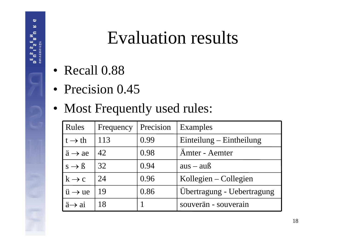#### Evaluation results

• Recall 0.88

ප ×

- Precision 0.45
- Most Frequently used rules:

| Rules                           | Frequency | Precision | Examples                   |
|---------------------------------|-----------|-----------|----------------------------|
| $t \rightarrow th$              | 113       | 0.99      | Einteilung – Eintheilung   |
| $\ddot{a} \rightarrow ae$       | 42        | 0.98      | Amter - Aemter             |
| $s \rightarrow \beta$           | 32        | 0.94      | $aus - auß$                |
| $k \rightarrow c$               | 24        | 0.96      | Kollegien – Collegien      |
| $\ddot{u} \rightarrow ue$       | 19        | 0.86      | Ubertragung - Uebertragung |
| $\ddot{a} \rightarrow a\dot{a}$ | 18        |           | souverän - souverain       |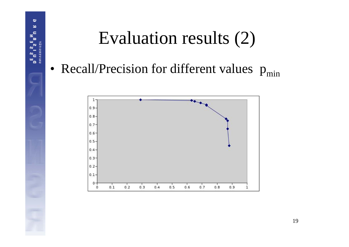

## Evaluation results (2)

• Recall/Precision for different values  $p_{min}$ 

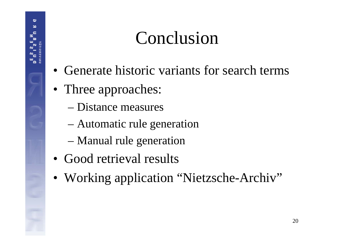#### Conclusion

- Generate historic variants for search terms
- Three approaches:
	- Distance measures
	- Automatic rule generation
	- Manual rule generation
- Good retrieval results
- Working application "Nietzsche-Archiv"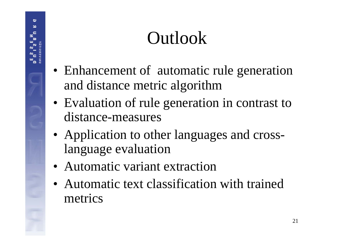### Outlook

- Enhancement of automatic rule generation and distance metric algorithm
- Evaluation of rule generation in contrast to distance-measures
- Application to other languages and crosslanguage evaluation
- Automatic variant extraction
- Automatic text classification with trained metrics